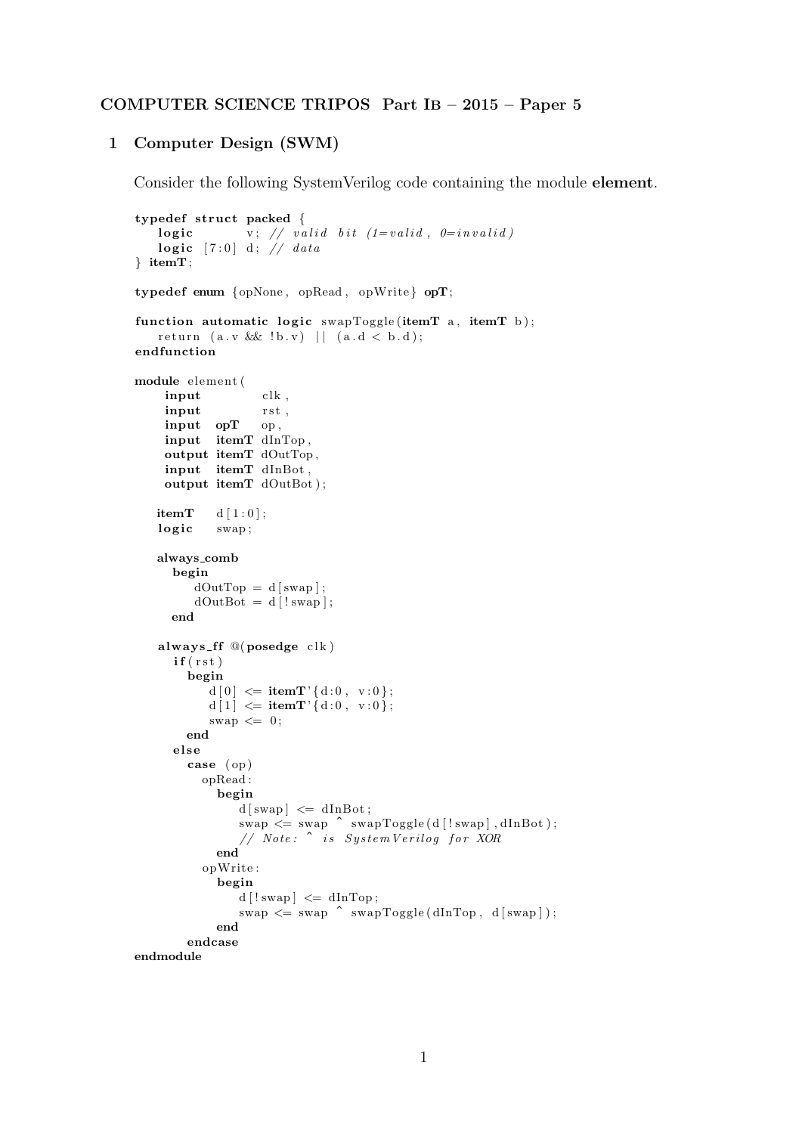## COMPUTER SCIENCE TRIPOS Part IB – 2015 – Paper 5

## 1 Computer Design (SWM)

Consider the following SystemVerilog code containing the module element.

```
typedef struct packed {
     \textbf{logic} \hspace{2em} \text{v} ; \hspace{2em} \textit{/} \hspace{2em} \textit{/} \hspace{2em} \textit{valid} \hspace{2em} \textit{bit} \hspace{2em} \textit{/} \hspace{2em} \textit{1}=valid \hspace{2em}, \hspace{2em} \textit{0}=invalid \hspace{2em} \textit{)}\textbf{logic} \quad [7:0] \quad \text{d} \, ; \ \not\hspace{.16cm} \textbf{\textit{/}}\ \ \textit{data}} itemT ;
typedef enum {opNone , opRead , opWrite } opT;
function automatic logic swapToggle (itemT a, itemT b);
    r e t urn (a \, . \, v \, \&\& \, ! \, b \, . \, v) || (a \, . \, d \, < \, b \, . \, d);endfunction
module elemen t (
      input clk,
      input rst,
      input opT op,
      input itemT dInTop ,
      output itemT dOutTop ,
      input itemT dInBot ,
      output itemT dOutBot ) ;
    itemT d [1:0];logic swap;
    always comb
       begin
            dOutTop = d[swap];dOutBot = d [! swap];
       end
    always ff @( posedge clk)
        if (rst)begin
               d[0] \leq itemT'{d:0, v:0};
               d[1] \leq itemT'{d:0, v:0};
               swap \leq 0;
           end
        e l s e
           case ( op )
              opRead :
                 begin
                      d[swap] \leq dInBot;\mathrm{swap} \leqslant \mathrm{swap} \ \hat{\ } \ \mathrm{swapToggle(d\, [! \,swap] \,, dInBot \, )};// Note: ^ is SystemVerilog for XOR
                 end
              opWrite :
                 begin
                      d [!swap] \leq dInTop;
                      swap \leq swap \text{``swap''} swapToggle(dInTop, d[swap]);end
           endcase
endmodule
```